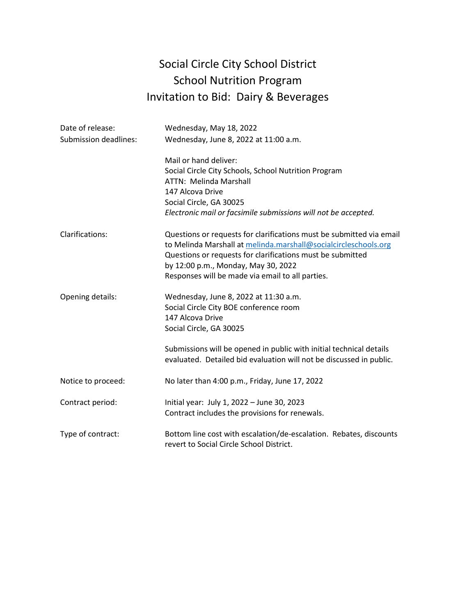# Social Circle City School District School Nutrition Program Invitation to Bid: Dairy & Beverages

| Date of release:             | Wednesday, May 18, 2022                                                                                                                                                                                                                                                                          |
|------------------------------|--------------------------------------------------------------------------------------------------------------------------------------------------------------------------------------------------------------------------------------------------------------------------------------------------|
| <b>Submission deadlines:</b> | Wednesday, June 8, 2022 at 11:00 a.m.                                                                                                                                                                                                                                                            |
|                              | Mail or hand deliver:<br>Social Circle City Schools, School Nutrition Program<br>ATTN: Melinda Marshall<br>147 Alcova Drive                                                                                                                                                                      |
|                              | Social Circle, GA 30025                                                                                                                                                                                                                                                                          |
|                              | Electronic mail or facsimile submissions will not be accepted.                                                                                                                                                                                                                                   |
| Clarifications:              | Questions or requests for clarifications must be submitted via email<br>to Melinda Marshall at melinda.marshall@socialcircleschools.org<br>Questions or requests for clarifications must be submitted<br>by 12:00 p.m., Monday, May 30, 2022<br>Responses will be made via email to all parties. |
| Opening details:             | Wednesday, June 8, 2022 at 11:30 a.m.<br>Social Circle City BOE conference room<br>147 Alcova Drive<br>Social Circle, GA 30025                                                                                                                                                                   |
|                              | Submissions will be opened in public with initial technical details<br>evaluated. Detailed bid evaluation will not be discussed in public.                                                                                                                                                       |
| Notice to proceed:           | No later than 4:00 p.m., Friday, June 17, 2022                                                                                                                                                                                                                                                   |
| Contract period:             | Initial year: July 1, 2022 - June 30, 2023<br>Contract includes the provisions for renewals.                                                                                                                                                                                                     |
| Type of contract:            | Bottom line cost with escalation/de-escalation. Rebates, discounts<br>revert to Social Circle School District.                                                                                                                                                                                   |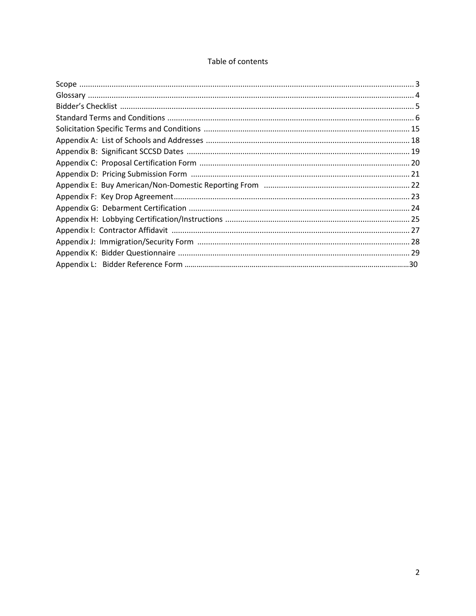# Table of contents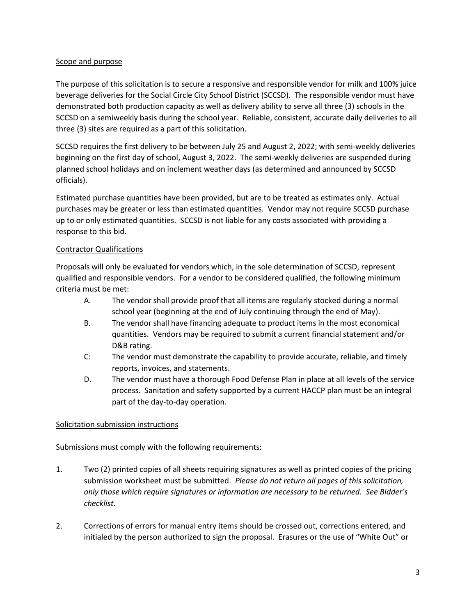#### Scope and purpose

The purpose of this solicitation is to secure a responsive and responsible vendor for milk and 100% juice beverage deliveries for the Social Circle City School District (SCCSD). The responsible vendor must have demonstrated both production capacity as well as delivery ability to serve all three (3) schools in the SCCSD on a semiweekly basis during the school year. Reliable, consistent, accurate daily deliveries to all three (3) sites are required as a part of this solicitation.

SCCSD requires the first delivery to be between July 25 and August 2, 2022; with semi-weekly deliveries beginning on the first day of school, August 3, 2022. The semi-weekly deliveries are suspended during planned school holidays and on inclement weather days (as determined and announced by SCCSD officials).

Estimated purchase quantities have been provided, but are to be treated as estimates only. Actual purchases may be greater or less than estimated quantities. Vendor may not require SCCSD purchase up to or only estimated quantities. SCCSD is not liable for any costs associated with providing a response to this bid.

#### Contractor Qualifications

Proposals will only be evaluated for vendors which, in the sole determination of SCCSD, represent qualified and responsible vendors. For a vendor to be considered qualified, the following minimum criteria must be met:

- A. The vendor shall provide proof that all items are regularly stocked during a normal school year (beginning at the end of July continuing through the end of May).
- B. The vendor shall have financing adequate to product items in the most economical quantities. Vendors may be required to submit a current financial statement and/or D&B rating.
- C: The vendor must demonstrate the capability to provide accurate, reliable, and timely reports, invoices, and statements.
- D. The vendor must have a thorough Food Defense Plan in place at all levels of the service process. Sanitation and safety supported by a current HACCP plan must be an integral part of the day-to-day operation.

# Solicitation submission instructions

Submissions must comply with the following requirements:

- 1. Two (2) printed copies of all sheets requiring signatures as well as printed copies of the pricing submission worksheet must be submitted. *Please do not return all pages of this solicitation, only those which require signatures or information are necessary to be returned. See Bidder's checklist.*
- 2. Corrections of errors for manual entry items should be crossed out, corrections entered, and initialed by the person authorized to sign the proposal. Erasures or the use of "White Out" or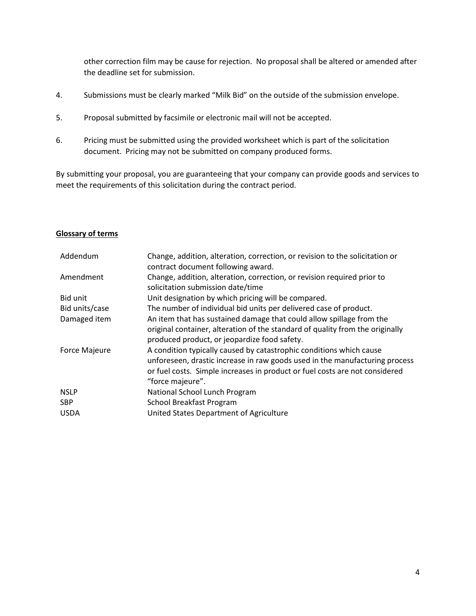other correction film may be cause for rejection. No proposal shall be altered or amended after the deadline set for submission.

- 4. Submissions must be clearly marked "Milk Bid" on the outside of the submission envelope.
- 5. Proposal submitted by facsimile or electronic mail will not be accepted.
- 6. Pricing must be submitted using the provided worksheet which is part of the solicitation document. Pricing may not be submitted on company produced forms.

By submitting your proposal, you are guaranteeing that your company can provide goods and services to meet the requirements of this solicitation during the contract period.

#### **Glossary of terms**

| Addendum             | Change, addition, alteration, correction, or revision to the solicitation or  |
|----------------------|-------------------------------------------------------------------------------|
|                      | contract document following award.                                            |
| Amendment            | Change, addition, alteration, correction, or revision required prior to       |
|                      | solicitation submission date/time                                             |
| Bid unit             | Unit designation by which pricing will be compared.                           |
| Bid units/case       | The number of individual bid units per delivered case of product.             |
| Damaged item         | An item that has sustained damage that could allow spillage from the          |
|                      | original container, alteration of the standard of quality from the originally |
|                      | produced product, or jeopardize food safety.                                  |
| <b>Force Majeure</b> | A condition typically caused by catastrophic conditions which cause           |
|                      | unforeseen, drastic increase in raw goods used in the manufacturing process   |
|                      | or fuel costs. Simple increases in product or fuel costs are not considered   |
|                      | "force majeure".                                                              |
| <b>NSLP</b>          | National School Lunch Program                                                 |
| <b>SBP</b>           | School Breakfast Program                                                      |
| <b>USDA</b>          | United States Department of Agriculture                                       |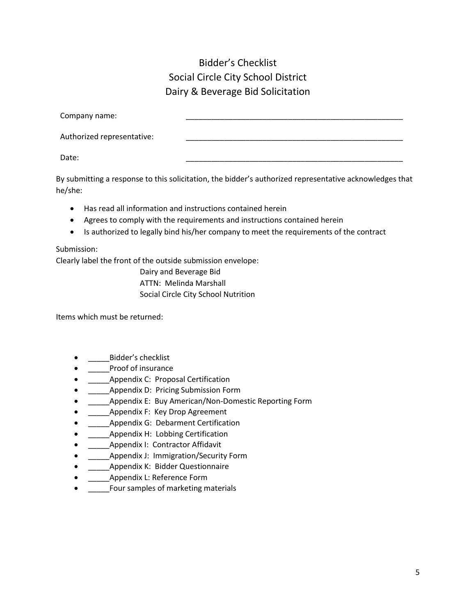# Bidder's Checklist Social Circle City School District Dairy & Beverage Bid Solicitation

| Company name:              |  |
|----------------------------|--|
| Authorized representative: |  |
| Date:                      |  |

By submitting a response to this solicitation, the bidder's authorized representative acknowledges that he/she:

- Has read all information and instructions contained herein
- Agrees to comply with the requirements and instructions contained herein
- Is authorized to legally bind his/her company to meet the requirements of the contract

# Submission:

Clearly label the front of the outside submission envelope:

Dairy and Beverage Bid ATTN: Melinda Marshall Social Circle City School Nutrition

Items which must be returned:

- Bidder's checklist
- Proof of insurance
- \_\_\_\_\_Appendix C: Proposal Certification
- **Appendix D: Pricing Submission Form**
- Appendix E: Buy American/Non-Domestic Reporting Form
- Appendix F: Key Drop Agreement
- **EXECUTE: Appendix G: Debarment Certification**
- **Appendix H: Lobbing Certification**
- \_\_\_\_\_Appendix I: Contractor Affidavit
- \_\_\_\_\_Appendix J: Immigration/Security Form
- Appendix K: Bidder Questionnaire
- Appendix L: Reference Form
- Four samples of marketing materials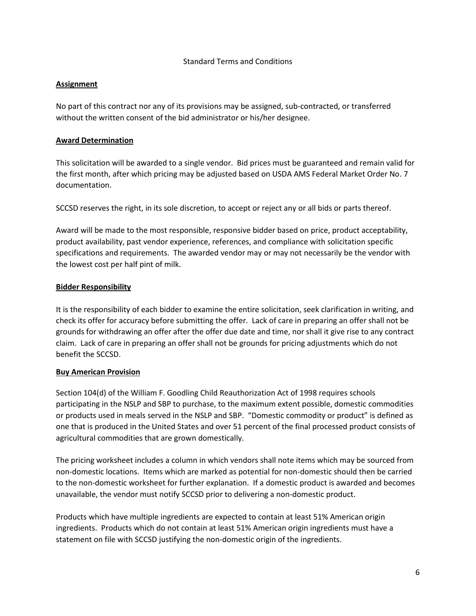#### Standard Terms and Conditions

#### **Assignment**

No part of this contract nor any of its provisions may be assigned, sub-contracted, or transferred without the written consent of the bid administrator or his/her designee.

#### **Award Determination**

This solicitation will be awarded to a single vendor. Bid prices must be guaranteed and remain valid for the first month, after which pricing may be adjusted based on USDA AMS Federal Market Order No. 7 documentation.

SCCSD reserves the right, in its sole discretion, to accept or reject any or all bids or parts thereof.

Award will be made to the most responsible, responsive bidder based on price, product acceptability, product availability, past vendor experience, references, and compliance with solicitation specific specifications and requirements. The awarded vendor may or may not necessarily be the vendor with the lowest cost per half pint of milk.

#### **Bidder Responsibility**

It is the responsibility of each bidder to examine the entire solicitation, seek clarification in writing, and check its offer for accuracy before submitting the offer. Lack of care in preparing an offer shall not be grounds for withdrawing an offer after the offer due date and time, nor shall it give rise to any contract claim. Lack of care in preparing an offer shall not be grounds for pricing adjustments which do not benefit the SCCSD.

#### **Buy American Provision**

Section 104(d) of the William F. Goodling Child Reauthorization Act of 1998 requires schools participating in the NSLP and SBP to purchase, to the maximum extent possible, domestic commodities or products used in meals served in the NSLP and SBP. "Domestic commodity or product" is defined as one that is produced in the United States and over 51 percent of the final processed product consists of agricultural commodities that are grown domestically.

The pricing worksheet includes a column in which vendors shall note items which may be sourced from non-domestic locations. Items which are marked as potential for non-domestic should then be carried to the non-domestic worksheet for further explanation. If a domestic product is awarded and becomes unavailable, the vendor must notify SCCSD prior to delivering a non-domestic product.

Products which have multiple ingredients are expected to contain at least 51% American origin ingredients. Products which do not contain at least 51% American origin ingredients must have a statement on file with SCCSD justifying the non-domestic origin of the ingredients.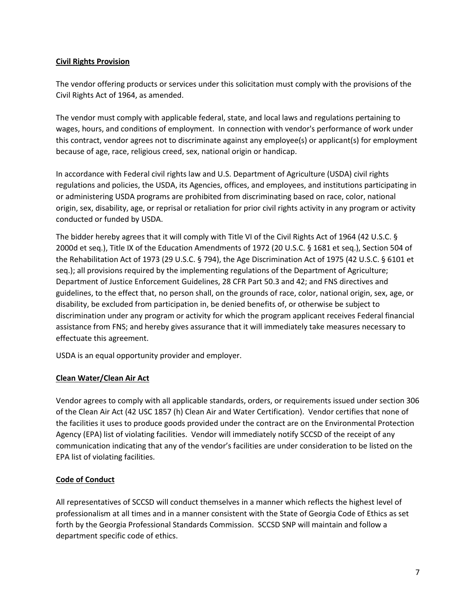#### **Civil Rights Provision**

The vendor offering products or services under this solicitation must comply with the provisions of the Civil Rights Act of 1964, as amended.

The vendor must comply with applicable federal, state, and local laws and regulations pertaining to wages, hours, and conditions of employment. In connection with vendor's performance of work under this contract, vendor agrees not to discriminate against any employee(s) or applicant(s) for employment because of age, race, religious creed, sex, national origin or handicap.

In accordance with Federal civil rights law and U.S. Department of Agriculture (USDA) civil rights regulations and policies, the USDA, its Agencies, offices, and employees, and institutions participating in or administering USDA programs are prohibited from discriminating based on race, color, national origin, sex, disability, age, or reprisal or retaliation for prior civil rights activity in any program or activity conducted or funded by USDA.

The bidder hereby agrees that it will comply with Title VI of the Civil Rights Act of 1964 (42 U.S.C. § 2000d et seq.), Title IX of the Education Amendments of 1972 (20 U.S.C. § 1681 et seq.), Section 504 of the Rehabilitation Act of 1973 (29 U.S.C. § 794), the Age Discrimination Act of 1975 (42 U.S.C. § 6101 et seq.); all provisions required by the implementing regulations of the Department of Agriculture; Department of Justice Enforcement Guidelines, 28 CFR Part 50.3 and 42; and FNS directives and guidelines, to the effect that, no person shall, on the grounds of race, color, national origin, sex, age, or disability, be excluded from participation in, be denied benefits of, or otherwise be subject to discrimination under any program or activity for which the program applicant receives Federal financial assistance from FNS; and hereby gives assurance that it will immediately take measures necessary to effectuate this agreement.

USDA is an equal opportunity provider and employer.

# **Clean Water/Clean Air Act**

Vendor agrees to comply with all applicable standards, orders, or requirements issued under section 306 of the Clean Air Act (42 USC 1857 (h) Clean Air and Water Certification). Vendor certifies that none of the facilities it uses to produce goods provided under the contract are on the Environmental Protection Agency (EPA) list of violating facilities. Vendor will immediately notify SCCSD of the receipt of any communication indicating that any of the vendor's facilities are under consideration to be listed on the EPA list of violating facilities.

# **Code of Conduct**

All representatives of SCCSD will conduct themselves in a manner which reflects the highest level of professionalism at all times and in a manner consistent with the State of Georgia Code of Ethics as set forth by the Georgia Professional Standards Commission. SCCSD SNP will maintain and follow a department specific code of ethics.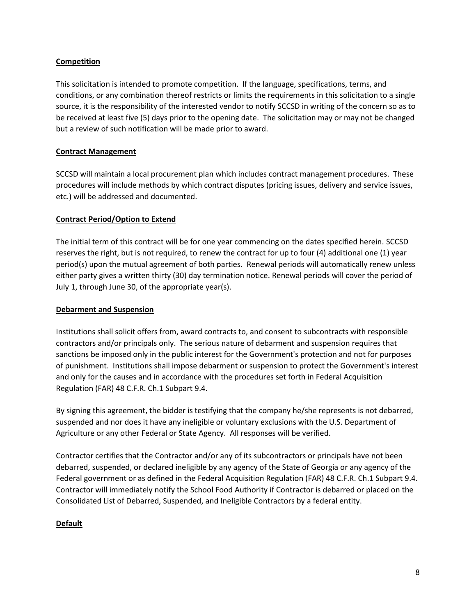#### **Competition**

This solicitation is intended to promote competition. If the language, specifications, terms, and conditions, or any combination thereof restricts or limits the requirements in this solicitation to a single source, it is the responsibility of the interested vendor to notify SCCSD in writing of the concern so as to be received at least five (5) days prior to the opening date. The solicitation may or may not be changed but a review of such notification will be made prior to award.

### **Contract Management**

SCCSD will maintain a local procurement plan which includes contract management procedures. These procedures will include methods by which contract disputes (pricing issues, delivery and service issues, etc.) will be addressed and documented.

#### **Contract Period/Option to Extend**

The initial term of this contract will be for one year commencing on the dates specified herein. SCCSD reserves the right, but is not required, to renew the contract for up to four (4) additional one (1) year period(s) upon the mutual agreement of both parties. Renewal periods will automatically renew unless either party gives a written thirty (30) day termination notice. Renewal periods will cover the period of July 1, through June 30, of the appropriate year(s).

#### **Debarment and Suspension**

Institutions shall solicit offers from, award contracts to, and consent to subcontracts with responsible contractors and/or principals only. The serious nature of debarment and suspension requires that sanctions be imposed only in the public interest for the Government's protection and not for purposes of punishment. Institutions shall impose debarment or suspension to protect the Government's interest and only for the causes and in accordance with the procedures set forth in Federal Acquisition Regulation (FAR) 48 C.F.R. Ch.1 Subpart 9.4.

By signing this agreement, the bidder is testifying that the company he/she represents is not debarred, suspended and nor does it have any ineligible or voluntary exclusions with the U.S. Department of Agriculture or any other Federal or State Agency. All responses will be verified.

Contractor certifies that the Contractor and/or any of its subcontractors or principals have not been debarred, suspended, or declared ineligible by any agency of the State of Georgia or any agency of the Federal government or as defined in the Federal Acquisition Regulation (FAR) 48 C.F.R. Ch.1 Subpart 9.4. Contractor will immediately notify the School Food Authority if Contractor is debarred or placed on the Consolidated List of Debarred, Suspended, and Ineligible Contractors by a federal entity.

# **Default**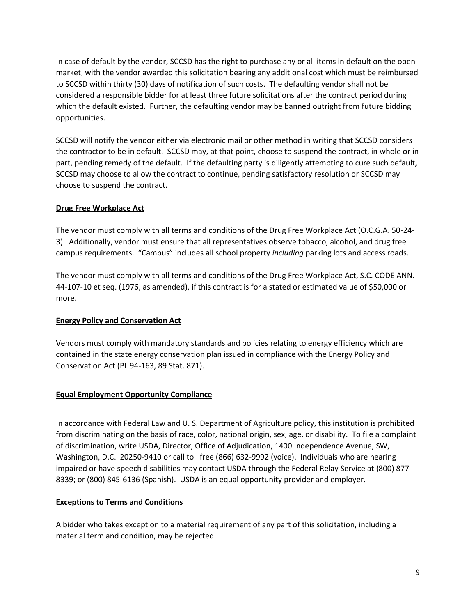In case of default by the vendor, SCCSD has the right to purchase any or all items in default on the open market, with the vendor awarded this solicitation bearing any additional cost which must be reimbursed to SCCSD within thirty (30) days of notification of such costs. The defaulting vendor shall not be considered a responsible bidder for at least three future solicitations after the contract period during which the default existed. Further, the defaulting vendor may be banned outright from future bidding opportunities.

SCCSD will notify the vendor either via electronic mail or other method in writing that SCCSD considers the contractor to be in default. SCCSD may, at that point, choose to suspend the contract, in whole or in part, pending remedy of the default. If the defaulting party is diligently attempting to cure such default, SCCSD may choose to allow the contract to continue, pending satisfactory resolution or SCCSD may choose to suspend the contract.

# **Drug Free Workplace Act**

The vendor must comply with all terms and conditions of the Drug Free Workplace Act (O.C.G.A. 50-24- 3). Additionally, vendor must ensure that all representatives observe tobacco, alcohol, and drug free campus requirements. "Campus" includes all school property *including* parking lots and access roads.

The vendor must comply with all terms and conditions of the Drug Free Workplace Act, S.C. CODE ANN. 44-107-10 et seq. (1976, as amended), if this contract is for a stated or estimated value of \$50,000 or more.

#### **Energy Policy and Conservation Act**

Vendors must comply with mandatory standards and policies relating to energy efficiency which are contained in the state energy conservation plan issued in compliance with the Energy Policy and Conservation Act (PL 94-163, 89 Stat. 871).

# **Equal Employment Opportunity Compliance**

In accordance with Federal Law and U. S. Department of Agriculture policy, this institution is prohibited from discriminating on the basis of race, color, national origin, sex, age, or disability. To file a complaint of discrimination, write USDA, Director, Office of Adjudication, 1400 Independence Avenue, SW, Washington, D.C. 20250-9410 or call toll free (866) 632-9992 (voice). Individuals who are hearing impaired or have speech disabilities may contact USDA through the Federal Relay Service at (800) 877- 8339; or (800) 845-6136 (Spanish). USDA is an equal opportunity provider and employer.

# **Exceptions to Terms and Conditions**

A bidder who takes exception to a material requirement of any part of this solicitation, including a material term and condition, may be rejected.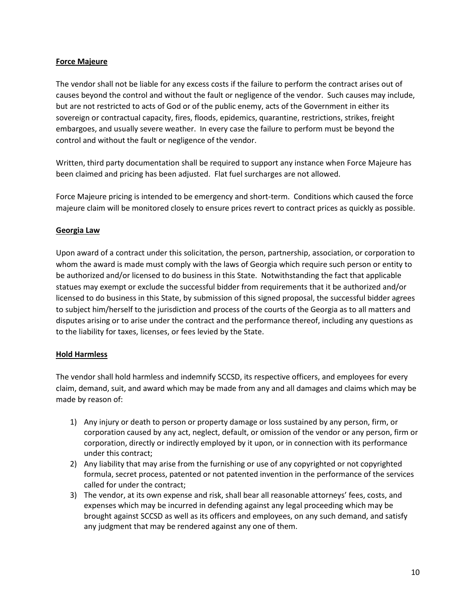#### **Force Majeure**

The vendor shall not be liable for any excess costs if the failure to perform the contract arises out of causes beyond the control and without the fault or negligence of the vendor. Such causes may include, but are not restricted to acts of God or of the public enemy, acts of the Government in either its sovereign or contractual capacity, fires, floods, epidemics, quarantine, restrictions, strikes, freight embargoes, and usually severe weather. In every case the failure to perform must be beyond the control and without the fault or negligence of the vendor.

Written, third party documentation shall be required to support any instance when Force Majeure has been claimed and pricing has been adjusted. Flat fuel surcharges are not allowed.

Force Majeure pricing is intended to be emergency and short-term. Conditions which caused the force majeure claim will be monitored closely to ensure prices revert to contract prices as quickly as possible.

#### **Georgia Law**

Upon award of a contract under this solicitation, the person, partnership, association, or corporation to whom the award is made must comply with the laws of Georgia which require such person or entity to be authorized and/or licensed to do business in this State. Notwithstanding the fact that applicable statues may exempt or exclude the successful bidder from requirements that it be authorized and/or licensed to do business in this State, by submission of this signed proposal, the successful bidder agrees to subject him/herself to the jurisdiction and process of the courts of the Georgia as to all matters and disputes arising or to arise under the contract and the performance thereof, including any questions as to the liability for taxes, licenses, or fees levied by the State.

#### **Hold Harmless**

The vendor shall hold harmless and indemnify SCCSD, its respective officers, and employees for every claim, demand, suit, and award which may be made from any and all damages and claims which may be made by reason of:

- 1) Any injury or death to person or property damage or loss sustained by any person, firm, or corporation caused by any act, neglect, default, or omission of the vendor or any person, firm or corporation, directly or indirectly employed by it upon, or in connection with its performance under this contract;
- 2) Any liability that may arise from the furnishing or use of any copyrighted or not copyrighted formula, secret process, patented or not patented invention in the performance of the services called for under the contract;
- 3) The vendor, at its own expense and risk, shall bear all reasonable attorneys' fees, costs, and expenses which may be incurred in defending against any legal proceeding which may be brought against SCCSD as well as its officers and employees, on any such demand, and satisfy any judgment that may be rendered against any one of them.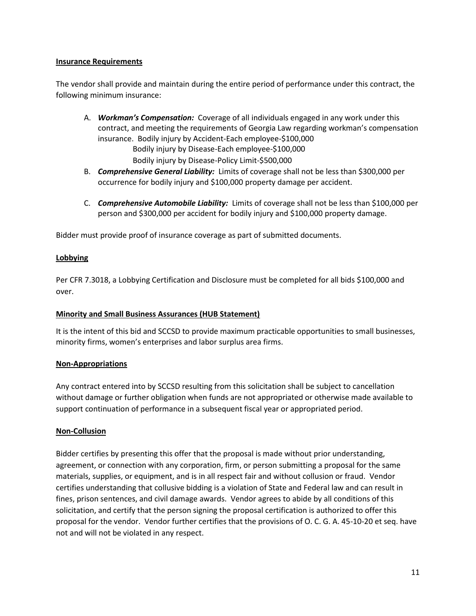#### **Insurance Requirements**

The vendor shall provide and maintain during the entire period of performance under this contract, the following minimum insurance:

- A. *Workman's Compensation:* Coverage of all individuals engaged in any work under this contract, and meeting the requirements of Georgia Law regarding workman's compensation insurance. Bodily injury by Accident-Each employee-\$100,000 Bodily injury by Disease-Each employee-\$100,000 Bodily injury by Disease-Policy Limit-\$500,000
- B. *Comprehensive General Liability:* Limits of coverage shall not be less than \$300,000 per occurrence for bodily injury and \$100,000 property damage per accident.
- C. *Comprehensive Automobile Liability:* Limits of coverage shall not be less than \$100,000 per person and \$300,000 per accident for bodily injury and \$100,000 property damage.

Bidder must provide proof of insurance coverage as part of submitted documents.

# **Lobbying**

Per CFR 7.3018, a Lobbying Certification and Disclosure must be completed for all bids \$100,000 and over.

# **Minority and Small Business Assurances (HUB Statement)**

It is the intent of this bid and SCCSD to provide maximum practicable opportunities to small businesses, minority firms, women's enterprises and labor surplus area firms.

# **Non-Appropriations**

Any contract entered into by SCCSD resulting from this solicitation shall be subject to cancellation without damage or further obligation when funds are not appropriated or otherwise made available to support continuation of performance in a subsequent fiscal year or appropriated period.

#### **Non-Collusion**

Bidder certifies by presenting this offer that the proposal is made without prior understanding, agreement, or connection with any corporation, firm, or person submitting a proposal for the same materials, supplies, or equipment, and is in all respect fair and without collusion or fraud. Vendor certifies understanding that collusive bidding is a violation of State and Federal law and can result in fines, prison sentences, and civil damage awards. Vendor agrees to abide by all conditions of this solicitation, and certify that the person signing the proposal certification is authorized to offer this proposal for the vendor. Vendor further certifies that the provisions of O. C. G. A. 45-10-20 et seq. have not and will not be violated in any respect.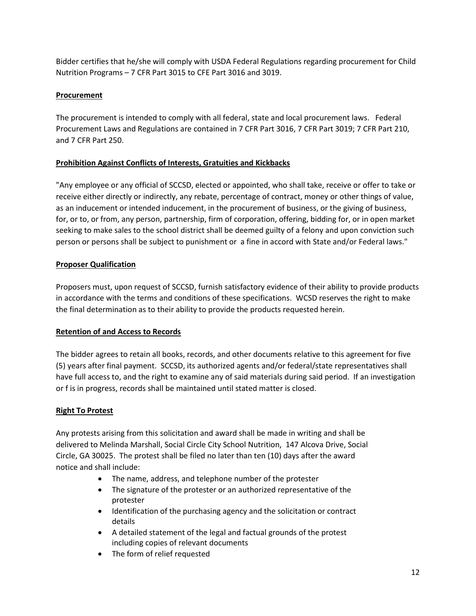Bidder certifies that he/she will comply with USDA Federal Regulations regarding procurement for Child Nutrition Programs – 7 CFR Part 3015 to CFE Part 3016 and 3019.

# **Procurement**

The procurement is intended to comply with all federal, state and local procurement laws. Federal Procurement Laws and Regulations are contained in 7 CFR Part 3016, 7 CFR Part 3019; 7 CFR Part 210, and 7 CFR Part 250.

# **Prohibition Against Conflicts of Interests, Gratuities and Kickbacks**

"Any employee or any official of SCCSD, elected or appointed, who shall take, receive or offer to take or receive either directly or indirectly, any rebate, percentage of contract, money or other things of value, as an inducement or intended inducement, in the procurement of business, or the giving of business, for, or to, or from, any person, partnership, firm of corporation, offering, bidding for, or in open market seeking to make sales to the school district shall be deemed guilty of a felony and upon conviction such person or persons shall be subject to punishment or a fine in accord with State and/or Federal laws."

# **Proposer Qualification**

Proposers must, upon request of SCCSD, furnish satisfactory evidence of their ability to provide products in accordance with the terms and conditions of these specifications. WCSD reserves the right to make the final determination as to their ability to provide the products requested herein.

# **Retention of and Access to Records**

The bidder agrees to retain all books, records, and other documents relative to this agreement for five (5) years after final payment. SCCSD, its authorized agents and/or federal/state representatives shall have full access to, and the right to examine any of said materials during said period. If an investigation or f is in progress, records shall be maintained until stated matter is closed.

# **Right To Protest**

Any protests arising from this solicitation and award shall be made in writing and shall be delivered to Melinda Marshall, Social Circle City School Nutrition, 147 Alcova Drive, Social Circle, GA 30025. The protest shall be filed no later than ten (10) days after the award notice and shall include:

- The name, address, and telephone number of the protester
- The signature of the protester or an authorized representative of the protester
- Identification of the purchasing agency and the solicitation or contract details
- A detailed statement of the legal and factual grounds of the protest including copies of relevant documents
- The form of relief requested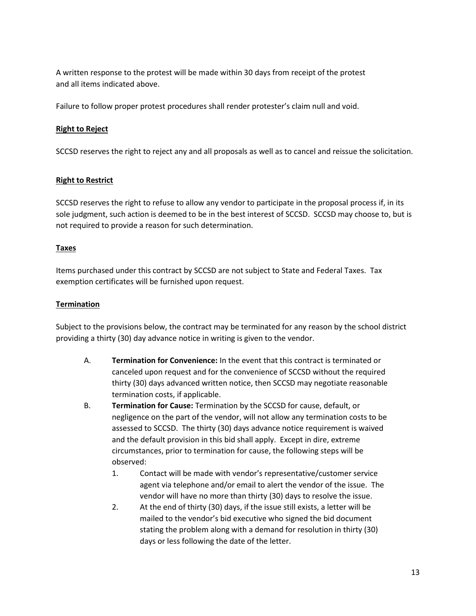A written response to the protest will be made within 30 days from receipt of the protest and all items indicated above.

Failure to follow proper protest procedures shall render protester's claim null and void.

#### **Right to Reject**

SCCSD reserves the right to reject any and all proposals as well as to cancel and reissue the solicitation.

#### **Right to Restrict**

SCCSD reserves the right to refuse to allow any vendor to participate in the proposal process if, in its sole judgment, such action is deemed to be in the best interest of SCCSD. SCCSD may choose to, but is not required to provide a reason for such determination.

#### **Taxes**

Items purchased under this contract by SCCSD are not subject to State and Federal Taxes. Tax exemption certificates will be furnished upon request.

#### **Termination**

Subject to the provisions below, the contract may be terminated for any reason by the school district providing a thirty (30) day advance notice in writing is given to the vendor.

- A. **Termination for Convenience:** In the event that this contract is terminated or canceled upon request and for the convenience of SCCSD without the required thirty (30) days advanced written notice, then SCCSD may negotiate reasonable termination costs, if applicable.
- B. **Termination for Cause:** Termination by the SCCSD for cause, default, or negligence on the part of the vendor, will not allow any termination costs to be assessed to SCCSD. The thirty (30) days advance notice requirement is waived and the default provision in this bid shall apply. Except in dire, extreme circumstances, prior to termination for cause, the following steps will be observed:
	- 1. Contact will be made with vendor's representative/customer service agent via telephone and/or email to alert the vendor of the issue. The vendor will have no more than thirty (30) days to resolve the issue.
	- 2. At the end of thirty (30) days, if the issue still exists, a letter will be mailed to the vendor's bid executive who signed the bid document stating the problem along with a demand for resolution in thirty (30) days or less following the date of the letter.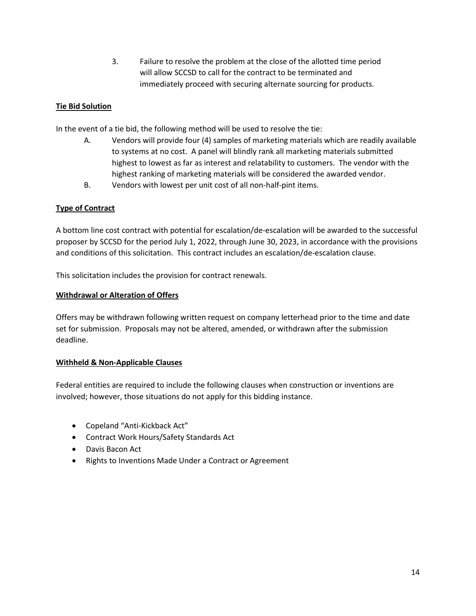3. Failure to resolve the problem at the close of the allotted time period will allow SCCSD to call for the contract to be terminated and immediately proceed with securing alternate sourcing for products.

# **Tie Bid Solution**

In the event of a tie bid, the following method will be used to resolve the tie:

- A. Vendors will provide four (4) samples of marketing materials which are readily available to systems at no cost. A panel will blindly rank all marketing materials submitted highest to lowest as far as interest and relatability to customers. The vendor with the highest ranking of marketing materials will be considered the awarded vendor.
- B. Vendors with lowest per unit cost of all non-half-pint items.

#### **Type of Contract**

A bottom line cost contract with potential for escalation/de-escalation will be awarded to the successful proposer by SCCSD for the period July 1, 2022, through June 30, 2023, in accordance with the provisions and conditions of this solicitation. This contract includes an escalation/de-escalation clause.

This solicitation includes the provision for contract renewals.

#### **Withdrawal or Alteration of Offers**

Offers may be withdrawn following written request on company letterhead prior to the time and date set for submission. Proposals may not be altered, amended, or withdrawn after the submission deadline.

#### **Withheld & Non-Applicable Clauses**

Federal entities are required to include the following clauses when construction or inventions are involved; however, those situations do not apply for this bidding instance.

- Copeland "Anti-Kickback Act"
- Contract Work Hours/Safety Standards Act
- Davis Bacon Act
- Rights to Inventions Made Under a Contract or Agreement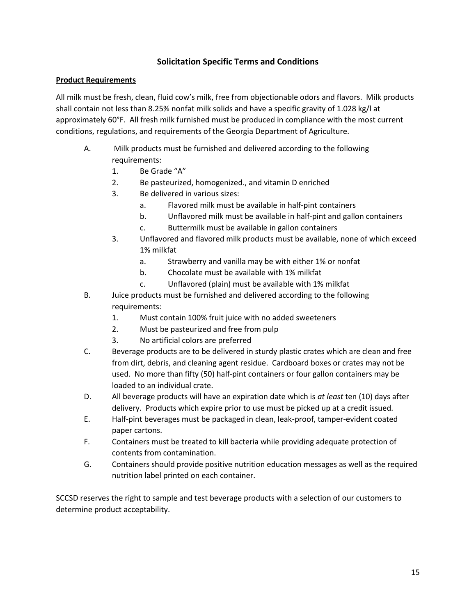# **Solicitation Specific Terms and Conditions**

#### **Product Requirements**

All milk must be fresh, clean, fluid cow's milk, free from objectionable odors and flavors. Milk products shall contain not less than 8.25% nonfat milk solids and have a specific gravity of 1.028 kg/l at approximately 60°F. All fresh milk furnished must be produced in compliance with the most current conditions, regulations, and requirements of the Georgia Department of Agriculture.

- A. Milk products must be furnished and delivered according to the following requirements:
	- 1. Be Grade "A"
	- 2. Be pasteurized, homogenized., and vitamin D enriched
	- 3. Be delivered in various sizes:
		- a. Flavored milk must be available in half-pint containers
		- b. Unflavored milk must be available in half-pint and gallon containers
		- c. Buttermilk must be available in gallon containers
	- 3. Unflavored and flavored milk products must be available, none of which exceed 1% milkfat
		- a. Strawberry and vanilla may be with either 1% or nonfat
		- b. Chocolate must be available with 1% milkfat
		- c. Unflavored (plain) must be available with 1% milkfat
- B. Juice products must be furnished and delivered according to the following requirements:
	- 1. Must contain 100% fruit juice with no added sweeteners
	- 2. Must be pasteurized and free from pulp
	- 3. No artificial colors are preferred
- C. Beverage products are to be delivered in sturdy plastic crates which are clean and free from dirt, debris, and cleaning agent residue. Cardboard boxes or crates may not be used. No more than fifty (50) half-pint containers or four gallon containers may be loaded to an individual crate.
- D. All beverage products will have an expiration date which is *at least* ten (10) days after delivery. Products which expire prior to use must be picked up at a credit issued.
- E. Half-pint beverages must be packaged in clean, leak-proof, tamper-evident coated paper cartons.
- F. Containers must be treated to kill bacteria while providing adequate protection of contents from contamination.
- G. Containers should provide positive nutrition education messages as well as the required nutrition label printed on each container.

SCCSD reserves the right to sample and test beverage products with a selection of our customers to determine product acceptability.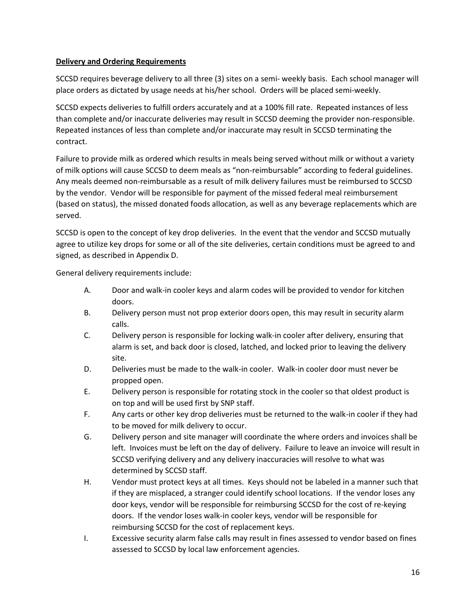### **Delivery and Ordering Requirements**

SCCSD requires beverage delivery to all three (3) sites on a semi- weekly basis. Each school manager will place orders as dictated by usage needs at his/her school. Orders will be placed semi-weekly.

SCCSD expects deliveries to fulfill orders accurately and at a 100% fill rate. Repeated instances of less than complete and/or inaccurate deliveries may result in SCCSD deeming the provider non-responsible. Repeated instances of less than complete and/or inaccurate may result in SCCSD terminating the contract.

Failure to provide milk as ordered which results in meals being served without milk or without a variety of milk options will cause SCCSD to deem meals as "non-reimbursable" according to federal guidelines. Any meals deemed non-reimbursable as a result of milk delivery failures must be reimbursed to SCCSD by the vendor. Vendor will be responsible for payment of the missed federal meal reimbursement (based on status), the missed donated foods allocation, as well as any beverage replacements which are served.

SCCSD is open to the concept of key drop deliveries. In the event that the vendor and SCCSD mutually agree to utilize key drops for some or all of the site deliveries, certain conditions must be agreed to and signed, as described in Appendix D.

General delivery requirements include:

- A. Door and walk-in cooler keys and alarm codes will be provided to vendor for kitchen doors.
- B. Delivery person must not prop exterior doors open, this may result in security alarm calls.
- C. Delivery person is responsible for locking walk-in cooler after delivery, ensuring that alarm is set, and back door is closed, latched, and locked prior to leaving the delivery site.
- D. Deliveries must be made to the walk-in cooler. Walk-in cooler door must never be propped open.
- E. Delivery person is responsible for rotating stock in the cooler so that oldest product is on top and will be used first by SNP staff.
- F. Any carts or other key drop deliveries must be returned to the walk-in cooler if they had to be moved for milk delivery to occur.
- G. Delivery person and site manager will coordinate the where orders and invoices shall be left. Invoices must be left on the day of delivery. Failure to leave an invoice will result in SCCSD verifying delivery and any delivery inaccuracies will resolve to what was determined by SCCSD staff.
- H. Vendor must protect keys at all times. Keys should not be labeled in a manner such that if they are misplaced, a stranger could identify school locations. If the vendor loses any door keys, vendor will be responsible for reimbursing SCCSD for the cost of re-keying doors. If the vendor loses walk-in cooler keys, vendor will be responsible for reimbursing SCCSD for the cost of replacement keys.
- I. Excessive security alarm false calls may result in fines assessed to vendor based on fines assessed to SCCSD by local law enforcement agencies.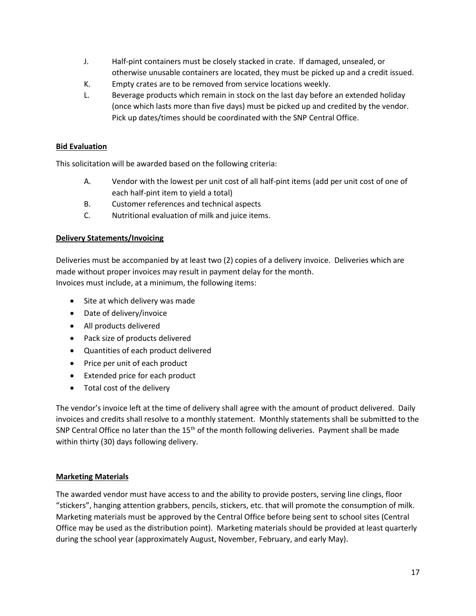- J. Half-pint containers must be closely stacked in crate. If damaged, unsealed, or otherwise unusable containers are located, they must be picked up and a credit issued.
- K. Empty crates are to be removed from service locations weekly.
- L. Beverage products which remain in stock on the last day before an extended holiday (once which lasts more than five days) must be picked up and credited by the vendor. Pick up dates/times should be coordinated with the SNP Central Office.

# **Bid Evaluation**

This solicitation will be awarded based on the following criteria:

- A. Vendor with the lowest per unit cost of all half-pint items (add per unit cost of one of each half-pint item to yield a total)
- B. Customer references and technical aspects
- C. Nutritional evaluation of milk and juice items.

#### **Delivery Statements/Invoicing**

Deliveries must be accompanied by at least two (2) copies of a delivery invoice. Deliveries which are made without proper invoices may result in payment delay for the month. Invoices must include, at a minimum, the following items:

- Site at which delivery was made
- Date of delivery/invoice
- All products delivered
- Pack size of products delivered
- Quantities of each product delivered
- Price per unit of each product
- Extended price for each product
- Total cost of the delivery

The vendor's invoice left at the time of delivery shall agree with the amount of product delivered. Daily invoices and credits shall resolve to a monthly statement. Monthly statements shall be submitted to the SNP Central Office no later than the 15<sup>th</sup> of the month following deliveries. Payment shall be made within thirty (30) days following delivery.

#### **Marketing Materials**

The awarded vendor must have access to and the ability to provide posters, serving line clings, floor "stickers", hanging attention grabbers, pencils, stickers, etc. that will promote the consumption of milk. Marketing materials must be approved by the Central Office before being sent to school sites (Central Office may be used as the distribution point). Marketing materials should be provided at least quarterly during the school year (approximately August, November, February, and early May).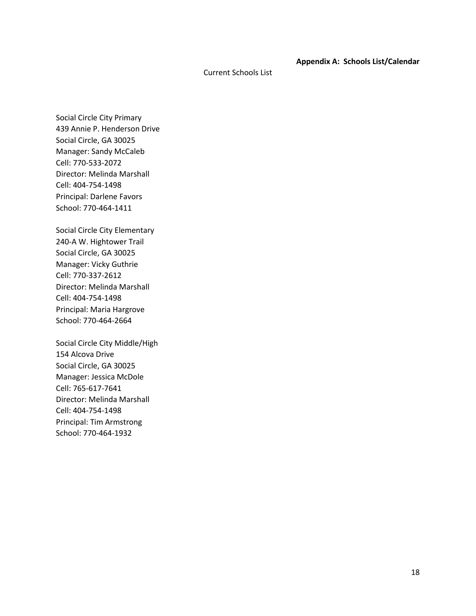#### **Appendix A: Schools List/Calendar**

#### Current Schools List

Social Circle City Primary 439 Annie P. Henderson Drive Social Circle, GA 30025 Manager: Sandy McCaleb Cell: 770-533-2072 Director: Melinda Marshall Cell: 404-754-1498 Principal: Darlene Favors School: 770-464-1411

Social Circle City Elementary 240-A W. Hightower Trail Social Circle, GA 30025 Manager: Vicky Guthrie Cell: 770-337-2612 Director: Melinda Marshall Cell: 404-754-1498 Principal: Maria Hargrove School: 770-464-2664

Social Circle City Middle/High 154 Alcova Drive Social Circle, GA 30025 Manager: Jessica McDole Cell: 765-617-7641 Director: Melinda Marshall Cell: 404-754-1498 Principal: Tim Armstrong School: 770-464-1932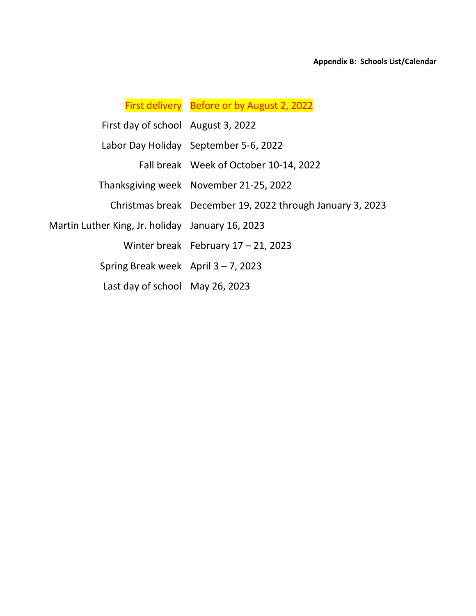# First delivery Before or by August 2, 2022

| First day of school August 3, 2022               |                                                           |
|--------------------------------------------------|-----------------------------------------------------------|
|                                                  | Labor Day Holiday September 5-6, 2022                     |
|                                                  | Fall break Week of October 10-14, 2022                    |
|                                                  | Thanksgiving week November 21-25, 2022                    |
|                                                  | Christmas break December 19, 2022 through January 3, 2023 |
| Martin Luther King, Jr. holiday January 16, 2023 |                                                           |
|                                                  | Winter break February $17 - 21$ , 2023                    |
| Spring Break week April $3 - 7$ , 2023           |                                                           |
| Last day of school May 26, 2023                  |                                                           |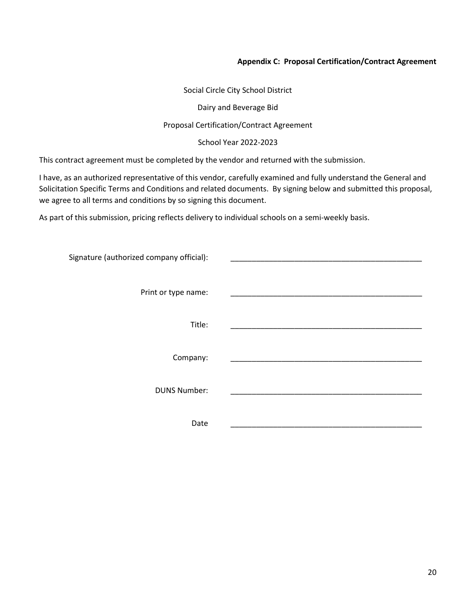#### **Appendix C: Proposal Certification/Contract Agreement**

Social Circle City School District

Dairy and Beverage Bid

#### Proposal Certification/Contract Agreement

School Year 2022-2023

This contract agreement must be completed by the vendor and returned with the submission.

I have, as an authorized representative of this vendor, carefully examined and fully understand the General and Solicitation Specific Terms and Conditions and related documents. By signing below and submitted this proposal, we agree to all terms and conditions by so signing this document.

As part of this submission, pricing reflects delivery to individual schools on a semi-weekly basis.

| Signature (authorized company official): |  |
|------------------------------------------|--|
|                                          |  |
| Print or type name:                      |  |
|                                          |  |
| Title:                                   |  |
|                                          |  |
| Company:                                 |  |
| <b>DUNS Number:</b>                      |  |
|                                          |  |
| Date                                     |  |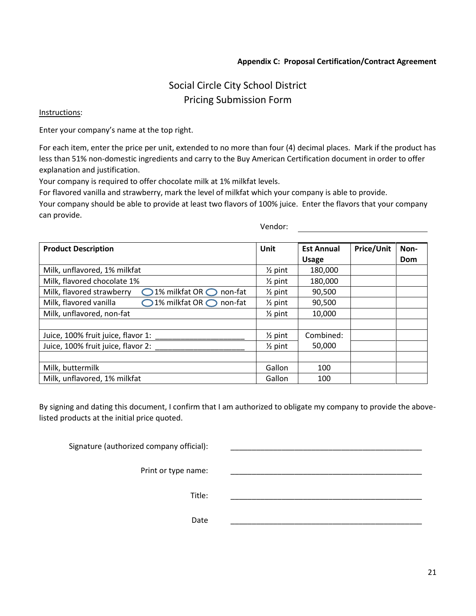#### **Appendix C: Proposal Certification/Contract Agreement**

# Social Circle City School District Pricing Submission Form

#### Instructions:

Enter your company's name at the top right.

For each item, enter the price per unit, extended to no more than four (4) decimal places. Mark if the product has less than 51% non-domestic ingredients and carry to the Buy American Certification document in order to offer explanation and justification.

Your company is required to offer chocolate milk at 1% milkfat levels.

For flavored vanilla and strawberry, mark the level of milkfat which your company is able to provide. Your company should be able to provide at least two flavors of 100% juice. Enter the flavors that your company can provide.

Vendor:

| <b>Product Description</b>                                                  | Unit               | <b>Est Annual</b> | <b>Price/Unit</b> | Non- |
|-----------------------------------------------------------------------------|--------------------|-------------------|-------------------|------|
|                                                                             |                    | <b>Usage</b>      |                   | Dom  |
| Milk, unflavored, 1% milkfat                                                | $\frac{1}{2}$ pint | 180,000           |                   |      |
| Milk, flavored chocolate 1%                                                 |                    | 180,000           |                   |      |
| Milk, flavored strawberry<br>$\bigcirc$ 1% milkfat OR $\bigcirc$<br>non-fat | $\frac{1}{2}$ pint | 90,500            |                   |      |
| 1% milkfat OR ◯ non-fat<br>Milk, flavored vanilla                           | $\frac{1}{2}$ pint | 90,500            |                   |      |
| Milk, unflavored, non-fat                                                   | $\frac{1}{2}$ pint | 10,000            |                   |      |
|                                                                             |                    |                   |                   |      |
| Juice, 100% fruit juice, flavor 1:                                          | $\frac{1}{2}$ pint | Combined:         |                   |      |
| Juice, 100% fruit juice, flavor 2:                                          | $\frac{1}{2}$ pint | 50,000            |                   |      |
|                                                                             |                    |                   |                   |      |
| Milk, buttermilk                                                            | Gallon             | 100               |                   |      |
| Milk, unflavored, 1% milkfat                                                | Gallon             | 100               |                   |      |

By signing and dating this document, I confirm that I am authorized to obligate my company to provide the abovelisted products at the initial price quoted.

Signature (authorized company official):

Print or type name:

Title: \_\_\_\_\_\_\_\_\_\_\_\_\_\_\_\_\_\_\_\_\_\_\_\_\_\_\_\_\_\_\_\_\_\_\_\_\_\_\_\_\_\_\_\_\_

Date \_\_\_\_\_\_\_\_\_\_\_\_\_\_\_\_\_\_\_\_\_\_\_\_\_\_\_\_\_\_\_\_\_\_\_\_\_\_\_\_\_\_\_\_\_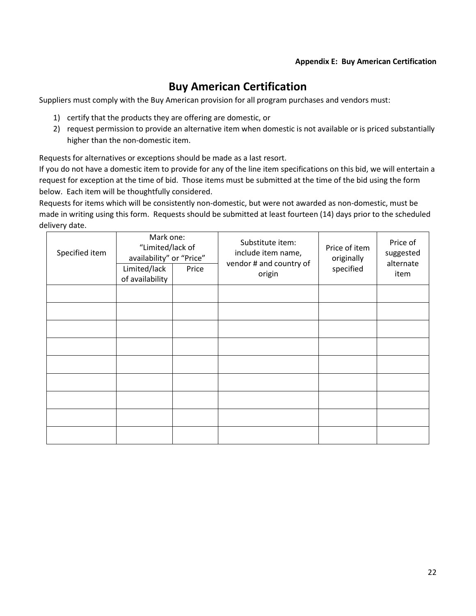#### **Appendix E: Buy American Certification**

# **Buy American Certification**

Suppliers must comply with the Buy American provision for all program purchases and vendors must:

- 1) certify that the products they are offering are domestic, or
- 2) request permission to provide an alternative item when domestic is not available or is priced substantially higher than the non-domestic item.

Requests for alternatives or exceptions should be made as a last resort.

If you do not have a domestic item to provide for any of the line item specifications on this bid, we will entertain a request for exception at the time of bid. Those items must be submitted at the time of the bid using the form below. Each item will be thoughtfully considered.

Requests for items which will be consistently non-domestic, but were not awarded as non-domestic, must be made in writing using this form. Requests should be submitted at least fourteen (14) days prior to the scheduled delivery date.

| Specified item | Mark one:<br>"Limited/lack of<br>availability" or "Price"<br>Limited/lack<br>Price<br>of availability |  | Substitute item:<br>include item name,<br>vendor # and country of<br>origin | Price of item<br>originally<br>specified | Price of<br>suggested<br>alternate<br>item |
|----------------|-------------------------------------------------------------------------------------------------------|--|-----------------------------------------------------------------------------|------------------------------------------|--------------------------------------------|
|                |                                                                                                       |  |                                                                             |                                          |                                            |
|                |                                                                                                       |  |                                                                             |                                          |                                            |
|                |                                                                                                       |  |                                                                             |                                          |                                            |
|                |                                                                                                       |  |                                                                             |                                          |                                            |
|                |                                                                                                       |  |                                                                             |                                          |                                            |
|                |                                                                                                       |  |                                                                             |                                          |                                            |
|                |                                                                                                       |  |                                                                             |                                          |                                            |
|                |                                                                                                       |  |                                                                             |                                          |                                            |
|                |                                                                                                       |  |                                                                             |                                          |                                            |
|                |                                                                                                       |  |                                                                             |                                          |                                            |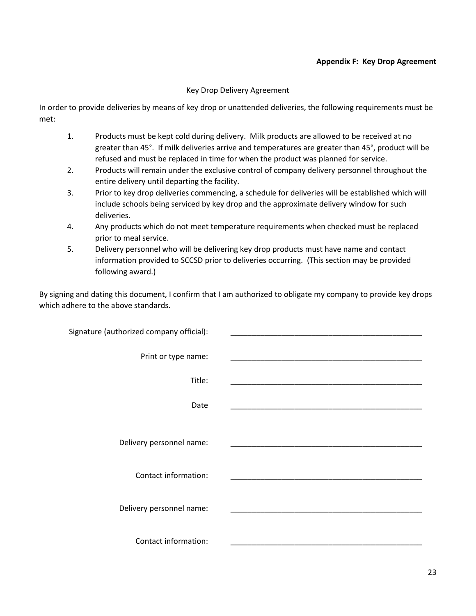#### **Appendix F: Key Drop Agreement**

#### Key Drop Delivery Agreement

In order to provide deliveries by means of key drop or unattended deliveries, the following requirements must be met:

- 1. Products must be kept cold during delivery. Milk products are allowed to be received at no greater than 45°. If milk deliveries arrive and temperatures are greater than 45°, product will be refused and must be replaced in time for when the product was planned for service.
- 2. Products will remain under the exclusive control of company delivery personnel throughout the entire delivery until departing the facility.
- 3. Prior to key drop deliveries commencing, a schedule for deliveries will be established which will include schools being serviced by key drop and the approximate delivery window for such deliveries.
- 4. Any products which do not meet temperature requirements when checked must be replaced prior to meal service.
- 5. Delivery personnel who will be delivering key drop products must have name and contact information provided to SCCSD prior to deliveries occurring. (This section may be provided following award.)

By signing and dating this document, I confirm that I am authorized to obligate my company to provide key drops which adhere to the above standards.

| the control of the control of the control of the control of the control of the control of                                  | Signature (authorized company official): |
|----------------------------------------------------------------------------------------------------------------------------|------------------------------------------|
| <u> 1989 - Johann John Stone, markin film yn y breninnas yn y breninnas y breninnas y breninnas y breninnas y bre</u>      | Print or type name:                      |
|                                                                                                                            | Title:                                   |
| <u> 1989 - Johann John Stone, market fan de Amerikaanske kommunister fan de Amerikaanske kommunister fan de Amerikaans</u> | Date                                     |
|                                                                                                                            | Delivery personnel name:                 |
|                                                                                                                            | Contact information:                     |
|                                                                                                                            | Delivery personnel name:                 |
|                                                                                                                            | Contact information:                     |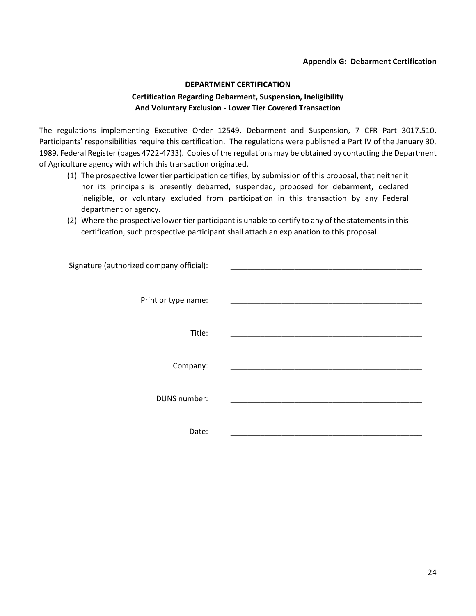#### **Appendix G: Debarment Certification**

# **DEPARTMENT CERTIFICATION Certification Regarding Debarment, Suspension, Ineligibility And Voluntary Exclusion - Lower Tier Covered Transaction**

The regulations implementing Executive Order 12549, Debarment and Suspension, 7 CFR Part 3017.510, Participants' responsibilities require this certification. The regulations were published a Part IV of the January 30, 1989, Federal Register (pages 4722-4733). Copies of the regulations may be obtained by contacting the Department of Agriculture agency with which this transaction originated.

- (1) The prospective lower tier participation certifies, by submission of this proposal, that neither it nor its principals is presently debarred, suspended, proposed for debarment, declared ineligible, or voluntary excluded from participation in this transaction by any Federal department or agency.
- (2) Where the prospective lower tier participant is unable to certify to any of the statements in this certification, such prospective participant shall attach an explanation to this proposal.

| Signature (authorized company official): |
|------------------------------------------|
|                                          |
| Print or type name:                      |
| Title:                                   |
|                                          |
| Company:                                 |
|                                          |
| DUNS number:                             |
|                                          |
| Date:                                    |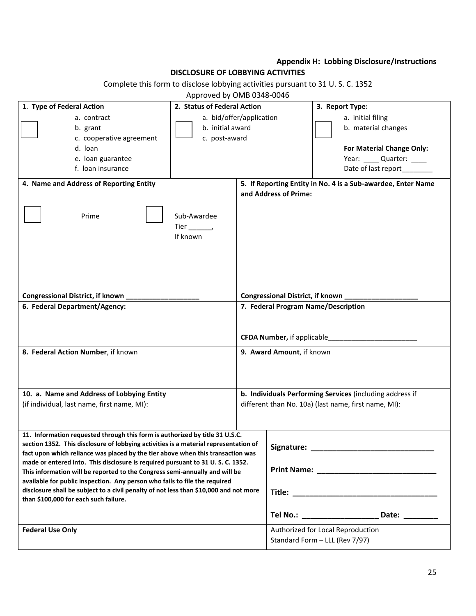# **Appendix H: Lobbing Disclosure/Instructions**

### **DISCLOSURE OF LOBBYING ACTIVITIES**

Complete this form to disclose lobbying activities pursuant to 31 U. S. C. 1352

# Approved by OMB 0348-0046

| 1. Type of Federal Action                                                                                                                                                                                                                                                                                                                                                                                                                                                                                                                                                                                                               | 2. Status of Federal Action                                   |                                                                                                 |                                  | 3. Report Type:                                                                                                                                                                                   |
|-----------------------------------------------------------------------------------------------------------------------------------------------------------------------------------------------------------------------------------------------------------------------------------------------------------------------------------------------------------------------------------------------------------------------------------------------------------------------------------------------------------------------------------------------------------------------------------------------------------------------------------------|---------------------------------------------------------------|-------------------------------------------------------------------------------------------------|----------------------------------|---------------------------------------------------------------------------------------------------------------------------------------------------------------------------------------------------|
| a. contract<br>b. grant<br>c. cooperative agreement<br>d. loan<br>e. Ioan guarantee<br>f. loan insurance<br>4. Name and Address of Reporting Entity                                                                                                                                                                                                                                                                                                                                                                                                                                                                                     | a. bid/offer/application<br>b. initial award<br>c. post-award |                                                                                                 |                                  | a. initial filing<br>b. material changes<br>For Material Change Only:<br>Year: _____ Quarter: ____<br>Date of last report________<br>5. If Reporting Entity in No. 4 is a Sub-awardee, Enter Name |
| Prime                                                                                                                                                                                                                                                                                                                                                                                                                                                                                                                                                                                                                                   | Sub-Awardee<br>Tier $\_\_\_\_\_\$<br>If known                 |                                                                                                 | and Address of Prime:            |                                                                                                                                                                                                   |
| Congressional District, if known                                                                                                                                                                                                                                                                                                                                                                                                                                                                                                                                                                                                        |                                                               |                                                                                                 | Congressional District, if known |                                                                                                                                                                                                   |
| 6. Federal Department/Agency:<br>8. Federal Action Number, if known                                                                                                                                                                                                                                                                                                                                                                                                                                                                                                                                                                     |                                                               | 7. Federal Program Name/Description<br>CFDA Number, if applicable_<br>9. Award Amount, if known |                                  |                                                                                                                                                                                                   |
| 10. a. Name and Address of Lobbying Entity                                                                                                                                                                                                                                                                                                                                                                                                                                                                                                                                                                                              |                                                               |                                                                                                 |                                  | b. Individuals Performing Services (including address if                                                                                                                                          |
| (if individual, last name, first name, MI):                                                                                                                                                                                                                                                                                                                                                                                                                                                                                                                                                                                             |                                                               |                                                                                                 |                                  | different than No. 10a) (last name, first name, MI):                                                                                                                                              |
| 11. Information requested through this form is authorized by title 31 U.S.C.<br>section 1352. This disclosure of lobbying activities is a material representation of<br>fact upon which reliance was placed by the tier above when this transaction was<br>made or entered into. This disclosure is required pursuant to 31 U.S.C. 1352.<br>This information will be reported to the Congress semi-annually and will be<br>available for public inspection. Any person who fails to file the required<br>disclosure shall be subject to a civil penalty of not less than \$10,000 and not more<br>than \$100,000 for each such failure. |                                                               |                                                                                                 | Signature:                       |                                                                                                                                                                                                   |
|                                                                                                                                                                                                                                                                                                                                                                                                                                                                                                                                                                                                                                         |                                                               |                                                                                                 |                                  | Tel No.: _____________________<br>Date: ________                                                                                                                                                  |
| <b>Federal Use Only</b>                                                                                                                                                                                                                                                                                                                                                                                                                                                                                                                                                                                                                 |                                                               |                                                                                                 |                                  | Authorized for Local Reproduction<br>Standard Form - LLL (Rev 7/97)                                                                                                                               |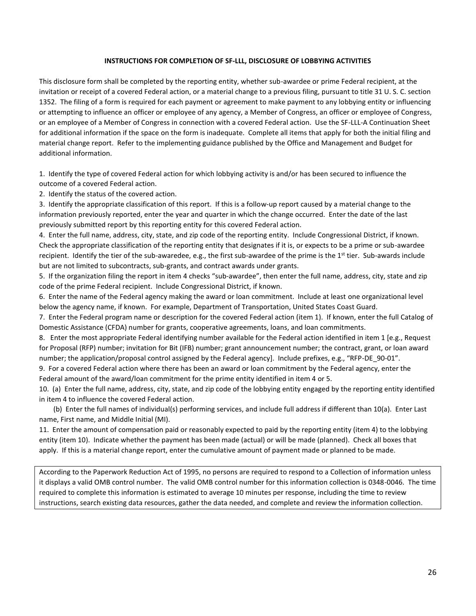#### **INSTRUCTIONS FOR COMPLETION OF SF-LLL, DISCLOSURE OF LOBBYING ACTIVITIES**

This disclosure form shall be completed by the reporting entity, whether sub-awardee or prime Federal recipient, at the invitation or receipt of a covered Federal action, or a material change to a previous filing, pursuant to title 31 U. S. C. section 1352. The filing of a form is required for each payment or agreement to make payment to any lobbying entity or influencing or attempting to influence an officer or employee of any agency, a Member of Congress, an officer or employee of Congress, or an employee of a Member of Congress in connection with a covered Federal action. Use the SF-LLL-A Continuation Sheet for additional information if the space on the form is inadequate. Complete all items that apply for both the initial filing and material change report. Refer to the implementing guidance published by the Office and Management and Budget for additional information.

1. Identify the type of covered Federal action for which lobbying activity is and/or has been secured to influence the outcome of a covered Federal action.

2. Identify the status of the covered action.

3. Identify the appropriate classification of this report. If this is a follow-up report caused by a material change to the information previously reported, enter the year and quarter in which the change occurred. Enter the date of the last previously submitted report by this reporting entity for this covered Federal action.

4. Enter the full name, address, city, state, and zip code of the reporting entity. Include Congressional District, if known. Check the appropriate classification of the reporting entity that designates if it is, or expects to be a prime or sub-awardee recipient. Identify the tier of the sub-awaredee, e.g., the first sub-awardee of the prime is the  $1<sup>st</sup>$  tier. Sub-awards include but are not limited to subcontracts, sub-grants, and contract awards under grants.

5. If the organization filing the report in item 4 checks "sub-awardee", then enter the full name, address, city, state and zip code of the prime Federal recipient. Include Congressional District, if known.

6. Enter the name of the Federal agency making the award or loan commitment. Include at least one organizational level below the agency name, if known. For example, Department of Transportation, United States Coast Guard.

7. Enter the Federal program name or description for the covered Federal action (item 1). If known, enter the full Catalog of Domestic Assistance (CFDA) number for grants, cooperative agreements, loans, and loan commitments.

8. Enter the most appropriate Federal identifying number available for the Federal action identified in item 1 [e.g., Request for Proposal (RFP) number; invitation for Bit (IFB) number; grant announcement number; the contract, grant, or loan award number; the application/proposal control assigned by the Federal agency]. Include prefixes, e.g., "RFP-DE\_90-01".

9. For a covered Federal action where there has been an award or loan commitment by the Federal agency, enter the Federal amount of the award/loan commitment for the prime entity identified in item 4 or 5.

10. (a) Enter the full name, address, city, state, and zip code of the lobbying entity engaged by the reporting entity identified in item 4 to influence the covered Federal action.

 (b) Enter the full names of individual(s) performing services, and include full address if different than 10(a). Enter Last name, First name, and Middle Initial (MI).

11. Enter the amount of compensation paid or reasonably expected to paid by the reporting entity (item 4) to the lobbying entity (item 10). Indicate whether the payment has been made (actual) or will be made (planned). Check all boxes that apply. If this is a material change report, enter the cumulative amount of payment made or planned to be made.

According to the Paperwork Reduction Act of 1995, no persons are required to respond to a Collection of information unless it displays a valid OMB control number. The valid OMB control number for this information collection is 0348-0046. The time required to complete this information is estimated to average 10 minutes per response, including the time to review instructions, search existing data resources, gather the data needed, and complete and review the information collection.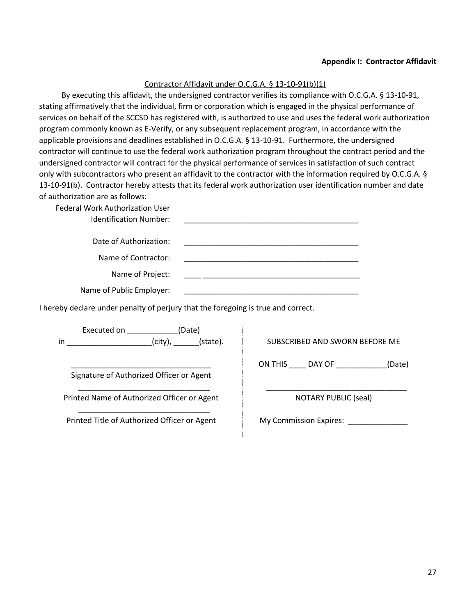#### **Appendix I: Contractor Affidavit**

#### Contractor Affidavit under O.C.G.A. § 13-10-91(b)(1)

By executing this affidavit, the undersigned contractor verifies its compliance with O.C.G.A. § 13-10-91, stating affirmatively that the individual, firm or corporation which is engaged in the physical performance of services on behalf of the SCCSD has registered with, is authorized to use and uses the federal work authorization program commonly known as E-Verify, or any subsequent replacement program, in accordance with the applicable provisions and deadlines established in O.C.G.A. § 13-10-91. Furthermore, the undersigned contractor will continue to use the federal work authorization program throughout the contract period and the undersigned contractor will contract for the physical performance of services in satisfaction of such contract only with subcontractors who present an affidavit to the contractor with the information required by O.C.G.A. § 13-10-91(b). Contractor hereby attests that its federal work authorization user identification number and date of authorization are as follows:

Federal Work Authorization User

| <b>Identification Number:</b> |  |
|-------------------------------|--|
| Date of Authorization:        |  |
| Name of Contractor:           |  |
| Name of Project:              |  |
| Name of Dublic Employees      |  |

Name of Public Employer:

I hereby declare under penalty of perjury that the foregoing is true and correct.

Executed on \_\_\_\_\_\_\_\_\_\_\_\_(Date) in \_\_\_\_\_\_\_\_\_\_\_\_\_\_\_\_\_\_\_\_(city), \_\_\_\_\_\_(state).

\_\_\_\_\_\_\_\_\_\_\_\_\_\_\_\_\_\_\_\_\_\_\_\_\_\_\_\_\_\_\_\_\_ Signature of Authorized Officer or Agent

\_\_\_\_\_\_\_\_\_\_\_\_\_\_\_\_\_\_\_\_\_\_\_\_\_\_\_\_\_\_\_ Printed Name of Authorized Officer or Agent

\_\_\_\_\_\_\_\_\_\_\_\_\_\_\_\_\_\_\_\_\_\_\_\_\_\_\_\_\_\_\_ Printed Title of Authorized Officer or Agent SUBSCRIBED AND SWORN BEFORE ME

ON THIS \_\_\_\_ DAY OF \_\_\_\_\_\_\_\_\_\_\_\_(Date)

\_\_\_\_\_\_\_\_\_\_\_\_\_\_\_\_\_\_\_\_\_\_\_\_\_\_\_\_\_\_\_\_\_ NOTARY PUBLIC (seal)

My Commission Expires: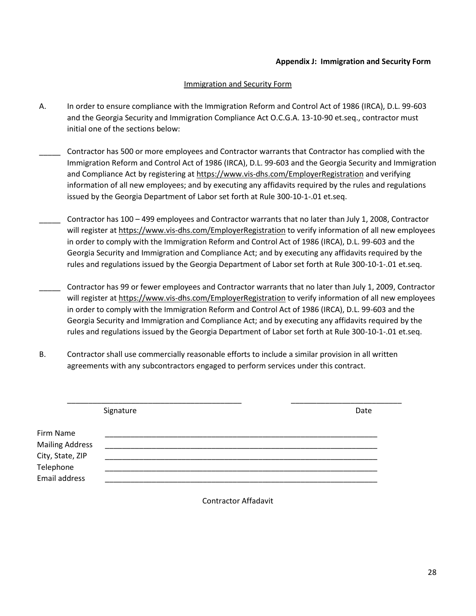#### **Appendix J: Immigration and Security Form**

#### Immigration and Security Form

- A. In order to ensure compliance with the Immigration Reform and Control Act of 1986 (IRCA), D.L. 99-603 and the Georgia Security and Immigration Compliance Act O.C.G.A. 13-10-90 et.seq., contractor must initial one of the sections below:
- \_\_\_\_\_ Contractor has 500 or more employees and Contractor warrants that Contractor has complied with the Immigration Reform and Control Act of 1986 (IRCA), D.L. 99-603 and the Georgia Security and Immigration and Compliance Act by registering at<https://www.vis-dhs.com/EmployerRegistration> and verifying information of all new employees; and by executing any affidavits required by the rules and regulations issued by the Georgia Department of Labor set forth at Rule 300-10-1-.01 et.seq.
- \_\_\_\_\_ Contractor has 100 499 employees and Contractor warrants that no later than July 1, 2008, Contractor will register a[t https://www.vis-dhs.com/EmployerRegistration](https://www.vis-dhs.com/EmployerRegistration) to verify information of all new employees in order to comply with the Immigration Reform and Control Act of 1986 (IRCA), D.L. 99-603 and the Georgia Security and Immigration and Compliance Act; and by executing any affidavits required by the rules and regulations issued by the Georgia Department of Labor set forth at Rule 300-10-1-.01 et.seq.
- \_\_\_\_\_ Contractor has 99 or fewer employees and Contractor warrants that no later than July 1, 2009, Contractor will register a[t https://www.vis-dhs.com/EmployerRegistration](https://www.vis-dhs.com/EmployerRegistration) to verify information of all new employees in order to comply with the Immigration Reform and Control Act of 1986 (IRCA), D.L. 99-603 and the Georgia Security and Immigration and Compliance Act; and by executing any affidavits required by the rules and regulations issued by the Georgia Department of Labor set forth at Rule 300-10-1-.01 et.seq.
- B. Contractor shall use commercially reasonable efforts to include a similar provision in all written agreements with any subcontractors engaged to perform services under this contract.

|                        | Signature | Date |
|------------------------|-----------|------|
| Firm Name              |           |      |
| <b>Mailing Address</b> |           |      |
| City, State, ZIP       |           |      |
| Telephone              |           |      |
| <b>Email address</b>   |           |      |

Contractor Affadavit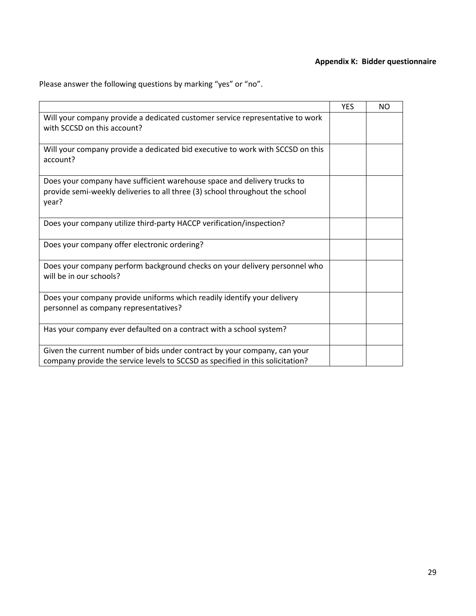# **Appendix K: Bidder questionnaire**

Please answer the following questions by marking "yes" or "no".

|                                                                                                                                                                   | <b>YES</b> | <b>NO</b> |
|-------------------------------------------------------------------------------------------------------------------------------------------------------------------|------------|-----------|
| Will your company provide a dedicated customer service representative to work<br>with SCCSD on this account?                                                      |            |           |
| Will your company provide a dedicated bid executive to work with SCCSD on this<br>account?                                                                        |            |           |
| Does your company have sufficient warehouse space and delivery trucks to<br>provide semi-weekly deliveries to all three (3) school throughout the school<br>year? |            |           |
| Does your company utilize third-party HACCP verification/inspection?                                                                                              |            |           |
| Does your company offer electronic ordering?                                                                                                                      |            |           |
| Does your company perform background checks on your delivery personnel who<br>will be in our schools?                                                             |            |           |
| Does your company provide uniforms which readily identify your delivery<br>personnel as company representatives?                                                  |            |           |
| Has your company ever defaulted on a contract with a school system?                                                                                               |            |           |
| Given the current number of bids under contract by your company, can your<br>company provide the service levels to SCCSD as specified in this solicitation?       |            |           |